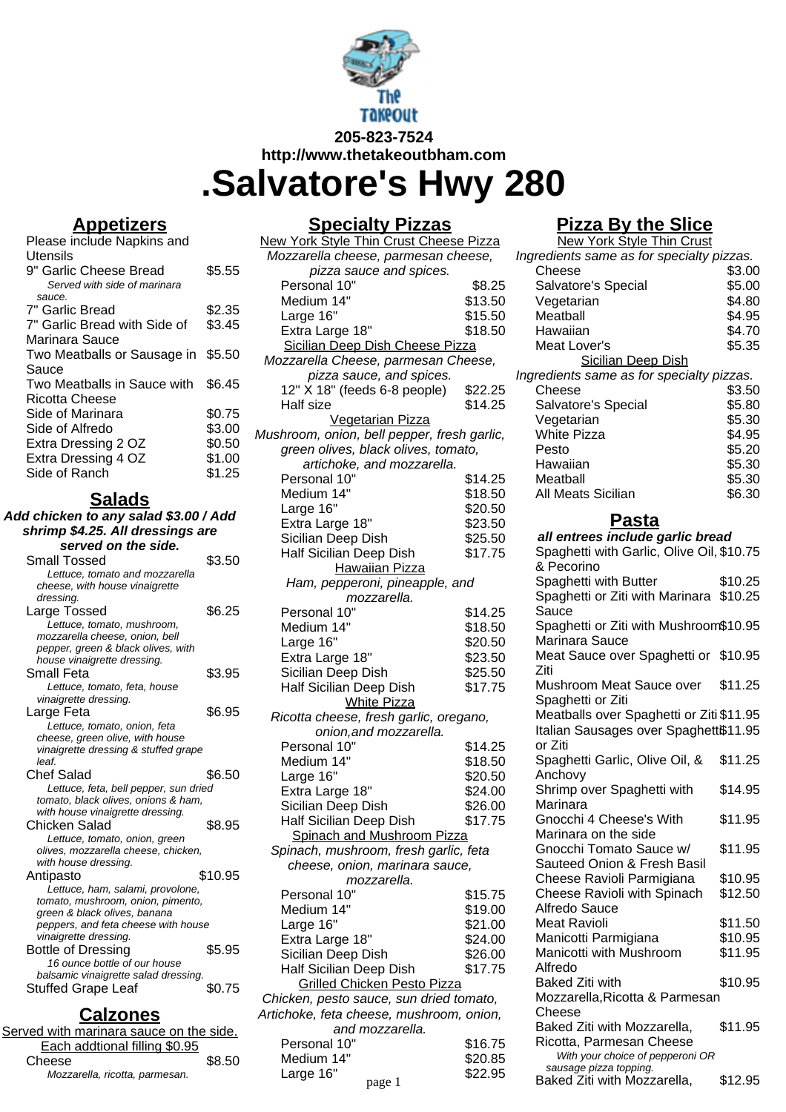

**http://www.thetakeoutbham.com**

**.Salvatore's Hwy 280**

## **Appetizers**

| Please include Napkins and         |        |
|------------------------------------|--------|
| Utensils                           |        |
| 9" Garlic Cheese Bread             | \$5.55 |
| Served with side of marinara       |        |
| sauce.                             |        |
| 7" Garlic Bread                    | \$2.35 |
| 7" Garlic Bread with Side of       | \$3.45 |
| Marinara Sauce                     |        |
| Two Meatballs or Sausage in \$5.50 |        |
| Sauce                              |        |
| Two Meatballs in Sauce with        | \$6.45 |
| Ricotta Cheese                     |        |
| Side of Marinara                   | \$0.75 |
| Side of Alfredo                    | \$3.00 |
| Extra Dressing 2 OZ                | \$0.50 |
| Extra Dressing 4 OZ                | \$1.00 |
| Side of Ranch                      | \$1.25 |

#### **Salads**

**Add chicken to any salad \$3.00 / Add shrimp \$4.25. All dressings are served on the side.**

| su vii uit siu                        |         |
|---------------------------------------|---------|
| Small Tossed                          | \$3.50  |
| Lettuce, tomato and mozzarella        |         |
| cheese, with house vinaigrette        |         |
| dressing.                             |         |
| Large Tossed                          | \$6.25  |
| Lettuce, tomato, mushroom,            |         |
| mozzarella cheese, onion, bell        |         |
| pepper, green & black olives, with    |         |
| house vinaigrette dressing.           |         |
| Small Feta                            | \$3.95  |
| Lettuce, tomato, feta, house          |         |
| vinaigrette dressing.                 |         |
| Large Feta                            | \$6.95  |
| Lettuce, tomato, onion, feta          |         |
| cheese, green olive, with house       |         |
| vinaigrette dressing & stuffed grape  |         |
| leaf.                                 |         |
| Chef Salad                            | \$6.50  |
| Lettuce, feta, bell pepper, sun dried |         |
| tomato, black olives, onions & ham,   |         |
| with house vinaigrette dressing.      |         |
| Chicken Salad                         | \$8.95  |
| Lettuce, tomato, onion, green         |         |
| olives, mozzarella cheese, chicken,   |         |
| with house dressing.                  |         |
| Antipasto                             | \$10.95 |
| Lettuce, ham, salami, provolone,      |         |
| tomato, mushroom, onion, pimento,     |         |
|                                       |         |
| green & black olives, banana          |         |
| peppers, and feta cheese with house   |         |
| vinaigrette dressing.                 |         |
| <b>Bottle of Dressing</b>             | \$5.95  |
| 16 ounce bottle of our house          |         |
| balsamic vinaigrette salad dressing.  |         |
| Stuffed Grape Leaf                    | \$0.75  |

#### **Calzones**

| Served with marinara sauce on the side. |        |
|-----------------------------------------|--------|
| Each addtional filling \$0.95           |        |
| Cheese                                  | \$8.50 |
| Mozzarella, ricotta, parmesan.          |        |

## **Specialty Pizzas**

| <u>Specialty Fizzas</u>                     |         |  |
|---------------------------------------------|---------|--|
| New York Style Thin Crust Cheese Pizza      |         |  |
| Mozzarella cheese, parmesan cheese,         |         |  |
| pizza sauce and spices.                     |         |  |
| Personal 10"                                | \$8.25  |  |
| Medium 14"                                  | \$13.50 |  |
| Large 16"                                   | \$15.50 |  |
| Extra Large 18"                             | \$18.50 |  |
| Sicilian Deep Dish Cheese Pizza             |         |  |
| Mozzarella Cheese, parmesan Cheese,         |         |  |
| pizza sauce, and spices.                    |         |  |
|                                             |         |  |
| 12" X 18" (feeds 6-8 people)                | \$22.25 |  |
| Half size                                   | \$14.25 |  |
| Vegetarian Pizza                            |         |  |
| Mushroom, onion, bell pepper, fresh garlic, |         |  |
| green olives, black olives, tomato,         |         |  |
| artichoke, and mozzarella.                  |         |  |
| Personal 10"                                | \$14.25 |  |
| Medium 14"                                  | \$18.50 |  |
| Large 16"                                   | \$20.50 |  |
| Extra Large 18"                             | \$23.50 |  |
| Sicilian Deep Dish                          | \$25.50 |  |
| Half Sicilian Deep Dish                     | \$17.75 |  |
| <b>Hawaiian Pizza</b>                       |         |  |
|                                             |         |  |
| Ham, pepperoni, pineapple, and              |         |  |
| mozzarella.                                 |         |  |
| Personal 10"                                | \$14.25 |  |
| Medium 14"                                  | \$18.50 |  |
| Large 16"                                   | \$20.50 |  |
| Extra Large 18"                             | \$23.50 |  |
| Sicilian Deep Dish                          | \$25.50 |  |
| Half Sicilian Deep Dish                     | \$17.75 |  |
| <b>White Pizza</b>                          |         |  |
| Ricotta cheese, fresh garlic, oregano,      |         |  |
| onion, and mozzarella.                      |         |  |
| Personal 10"                                | \$14.25 |  |
| Medium 14"                                  | \$18.50 |  |
| Large 16"                                   | \$20.50 |  |
|                                             |         |  |
| Extra Large 18"                             | \$24.00 |  |
| Sicilian Deep Dish                          | \$26.00 |  |
| Half Sicilian Deep Dish                     | \$17.75 |  |
| Spinach and Mushroom Pizza                  |         |  |
| Spinach, mushroom, fresh garlic, feta       |         |  |
| cheese, onion, marinara sauce,              |         |  |
| mozzarella.                                 |         |  |
| Personal 10"                                | \$15.75 |  |
| Medium 14"                                  | \$19.00 |  |
| Large 16"                                   | \$21.00 |  |
| Extra Large 18"                             | \$24.00 |  |
| Sicilian Deep Dish                          | \$26.00 |  |
| Half Sicilian Deep Dish                     | \$17.75 |  |
|                                             |         |  |
| Grilled Chicken Pesto Pizza                 |         |  |
| Chicken, pesto sauce, sun dried tomato,     |         |  |
| Artichoke, feta cheese, mushroom, onion,    |         |  |
| and mozzarella.                             |         |  |
| Personal 10"                                | \$16.75 |  |
| Medium 14"                                  | \$20.85 |  |
| Large 16"<br>page 1                         | \$22.95 |  |
|                                             |         |  |

### **Pizza By the Slice**

| <b>New York Style Thin Crust</b>                           |         |  |
|------------------------------------------------------------|---------|--|
| Ingredients same as for specialty pizzas.                  |         |  |
| Cheese                                                     | \$3.00  |  |
| Salvatore's Special                                        | \$5.00  |  |
| Vegetarian                                                 | \$4.80  |  |
| Meatball                                                   | \$4.95  |  |
| Hawaiian                                                   | \$4.70  |  |
| Meat Lover's                                               | \$5.35  |  |
| <b>Sicilian Deep Dish</b>                                  |         |  |
| Ingredients same as for specialty pizzas.                  |         |  |
| Cheese                                                     | \$3.50  |  |
|                                                            | \$5.80  |  |
| Salvatore's Special                                        |         |  |
| Vegetarian                                                 | \$5.30  |  |
| <b>White Pizza</b>                                         | \$4.95  |  |
| Pesto                                                      | \$5.20  |  |
| Hawaiian                                                   | \$5.30  |  |
| Meatball                                                   | \$5.30  |  |
| All Meats Sicilian                                         | \$6.30  |  |
|                                                            |         |  |
| Pasta                                                      |         |  |
| all entrees include garlic bread                           |         |  |
| Spaghetti with Garlic, Olive Oil, \$10.75                  |         |  |
| & Pecorino                                                 |         |  |
| Spaghetti with Butter                                      | \$10.25 |  |
| Spaghetti or Ziti with Marinara                            | \$10.25 |  |
| Sauce                                                      |         |  |
| Spaghetti or Ziti with Mushroom\$10.95                     |         |  |
| Marinara Sauce                                             |         |  |
| Meat Sauce over Spaghetti or \$10.95                       |         |  |
| Ziti                                                       |         |  |
| Mushroom Meat Sauce over                                   | \$11.25 |  |
| Spaghetti or Ziti                                          |         |  |
| Meatballs over Spaghetti or Ziti \$11.95                   |         |  |
| Italian Sausages over Spaghettß11.95                       |         |  |
| or Ziti                                                    |         |  |
| Spaghetti Garlic, Olive Oil, &                             | \$11.25 |  |
| Anchovy                                                    |         |  |
| Shrimp over Spaghetti with                                 | \$14.95 |  |
| Marinara                                                   |         |  |
| Gnocchi 4 Cheese's With                                    | \$11.95 |  |
| Marinara on the side                                       |         |  |
| Gnocchi Tomato Sauce w/                                    | \$11.95 |  |
| Sauteed Onion & Fresh Basil                                |         |  |
| Cheese Ravioli Parmigiana                                  | \$10.95 |  |
| Cheese Ravioli with Spinach                                | \$12.50 |  |
| Alfredo Sauce                                              |         |  |
| <b>Meat Ravioli</b>                                        | \$11.50 |  |
| Manicotti Parmigiana                                       | \$10.95 |  |
| Manicotti with Mushroom                                    | \$11.95 |  |
| Alfredo                                                    |         |  |
| <b>Baked Ziti with</b>                                     |         |  |
|                                                            | \$10.95 |  |
| Mozzarella, Ricotta & Parmesan                             |         |  |
| Cheese                                                     |         |  |
| Baked Ziti with Mozzarella,                                | \$11.95 |  |
| Ricotta, Parmesan Cheese                                   |         |  |
| With your choice of pepperoni OR<br>sausage pizza topping. |         |  |
| Baked Ziti with Mozzarella,                                | \$12.95 |  |
|                                                            |         |  |